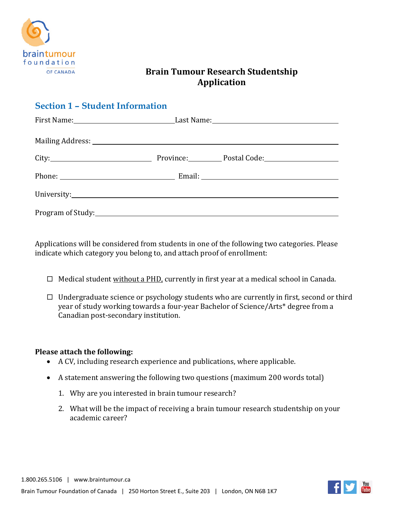

# **Brain Tumour Research Studentship Application**

| <b>Section 1 - Student Information</b> |  |  |  |  |  |
|----------------------------------------|--|--|--|--|--|
|                                        |  |  |  |  |  |
|                                        |  |  |  |  |  |
|                                        |  |  |  |  |  |
|                                        |  |  |  |  |  |
|                                        |  |  |  |  |  |
|                                        |  |  |  |  |  |

Applications will be considered from students in one of the following two categories. Please indicate which category you belong to, and attach proof of enrollment:

- $\Box$  Medical student <u>without a PHD</u>, currently in first year at a medical school in Canada.
- Undergraduate science or psychology students who are currently in first, second or third year of study working towards a four-year Bachelor of Science/Arts\* degree from a Canadian post-secondary institution.

#### **Please attach the following:**

- A CV, including research experience and publications, where applicable.
- A statement answering the following two questions (maximum 200 words total)
	- 1. Why are you interested in brain tumour research?
	- 2. What will be the impact of receiving a brain tumour research studentship on your academic career?

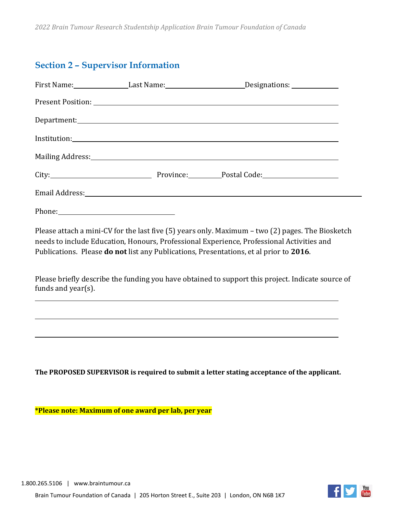# **Section 2 – Supervisor Information**

|                    |                                                                                                                                                                                                                                | First Name: _________________Last Name: ___________________________Designations: __________________                                                                                                                                                                                     |  |
|--------------------|--------------------------------------------------------------------------------------------------------------------------------------------------------------------------------------------------------------------------------|-----------------------------------------------------------------------------------------------------------------------------------------------------------------------------------------------------------------------------------------------------------------------------------------|--|
|                    |                                                                                                                                                                                                                                |                                                                                                                                                                                                                                                                                         |  |
|                    |                                                                                                                                                                                                                                |                                                                                                                                                                                                                                                                                         |  |
|                    |                                                                                                                                                                                                                                |                                                                                                                                                                                                                                                                                         |  |
|                    |                                                                                                                                                                                                                                | Mailing Address: 1999 Mailing Address: 1999 Mailing Address: 1999 Mailing Address: 1999 Mailing Address: 1999                                                                                                                                                                           |  |
|                    |                                                                                                                                                                                                                                | City: Current Collection Province: City: Postal Code: Collection Postal Code:                                                                                                                                                                                                           |  |
|                    |                                                                                                                                                                                                                                |                                                                                                                                                                                                                                                                                         |  |
|                    | Phone: 2008 Phone: 2008 Phone: 2008 Phone: 2008 Phone: 2008 Phone: 2008 Phone: 2008 Phone: 2008 Phone: 2008 Phone: 2008 Phone: 2008 Phone: 2008 Phone: 2008 Phone: 2008 Phone: 2008 Phone: 2008 Phone: 2008 Phone: 2008 Phone: |                                                                                                                                                                                                                                                                                         |  |
|                    |                                                                                                                                                                                                                                | Please attach a mini-CV for the last five (5) years only. Maximum - two (2) pages. The Biosketch<br>needs to include Education, Honours, Professional Experience, Professional Activities and<br>Publications. Please do not list any Publications, Presentations, et al prior to 2016. |  |
| funds and year(s). |                                                                                                                                                                                                                                | Please briefly describe the funding you have obtained to support this project. Indicate source of                                                                                                                                                                                       |  |
|                    |                                                                                                                                                                                                                                |                                                                                                                                                                                                                                                                                         |  |
|                    |                                                                                                                                                                                                                                |                                                                                                                                                                                                                                                                                         |  |
|                    |                                                                                                                                                                                                                                |                                                                                                                                                                                                                                                                                         |  |
|                    |                                                                                                                                                                                                                                |                                                                                                                                                                                                                                                                                         |  |

**The PROPOSED SUPERVISOR is required to submit a letter stating acceptance of the applicant.** 

**\*Please note: Maximum of one award per lab, per year**

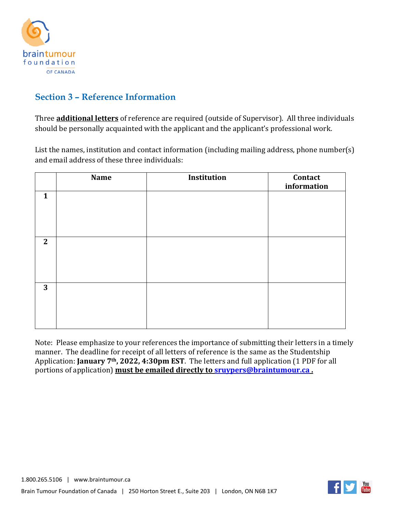

# **Section 3 – Reference Information**

Three **additional letters** of reference are required (outside of Supervisor). All three individuals should be personally acquainted with the applicant and the applicant's professional work.

List the names, institution and contact information (including mailing address, phone number(s) and email address of these three individuals:

|              | <b>Name</b> | Institution | Contact<br>information |
|--------------|-------------|-------------|------------------------|
| $\mathbf{1}$ |             |             |                        |
| $\mathbf{2}$ |             |             |                        |
| 3            |             |             |                        |

Note: Please emphasize to your references the importance of submitting their letters in a timely manner. The deadline for receipt of all letters of reference is the same as the Studentship Application: **January 7th, 2022, 4:30pm EST**. The letters and full application (1 PDF for all portions of application) **must be emailed directly t[o sruypers@braintumour.ca](mailto:sruypers@braintumour.ca) .** 

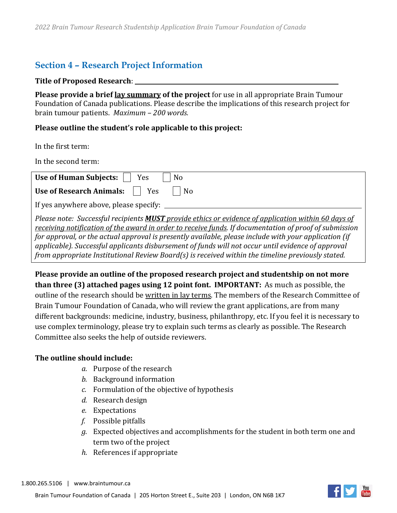### **Section 4 – Research Project Information**

#### **Title of Proposed Research**:

**Please provide a brief lay summary of the project** for use in all appropriate Brain Tumour Foundation of Canada publications. Please describe the implications of this research project for brain tumour patients. *Maximum – 200 words.*

### **Please outline the student's role applicable to this project:**

In the first term:

In the second term:

| Use of Human Subjects:  <br><b>Yes</b><br>N <sub>o</sub>                                                                                                                                                                                                                                                                                                                                                                                                                                                                                 |
|------------------------------------------------------------------------------------------------------------------------------------------------------------------------------------------------------------------------------------------------------------------------------------------------------------------------------------------------------------------------------------------------------------------------------------------------------------------------------------------------------------------------------------------|
| <b>Use of Research Animals:</b><br>Yes<br>N <sub>0</sub>                                                                                                                                                                                                                                                                                                                                                                                                                                                                                 |
| If yes anywhere above, please specify: _                                                                                                                                                                                                                                                                                                                                                                                                                                                                                                 |
| Please note: Successful recipients <b>MUST</b> provide ethics or evidence of application within 60 days of<br>receiving notification of the award in order to receive funds. If documentation of proof of submission<br>for approval, or the actual approval is presently available, please include with your application (if<br>applicable). Successful applicants disbursement of funds will not occur until evidence of approval<br>from appropriate Institutional Review Board(s) is received within the timeline previously stated. |

**Please provide an outline of the proposed research project and studentship on not more than three (3) attached pages using 12 point font. IMPORTANT:** As much as possible, the outline of the research should be written in lay terms. The members of the Research Committee of Brain Tumour Foundation of Canada, who will review the grant applications, are from many different backgrounds: medicine, industry, business, philanthropy, etc. If you feel it is necessary to use complex terminology, please try to explain such terms as clearly as possible. The Research Committee also seeks the help of outside reviewers.

### **The outline should include:**

- *a.* Purpose of the research
- *b.* Background information
- *c.* Formulation of the objective of hypothesis
- *d.* Research design
- *e.* Expectations
- *f.* Possible pitfalls
- *g.* Expected objectives and accomplishments for the student in both term one and term two of the project
- *h.* References if appropriate

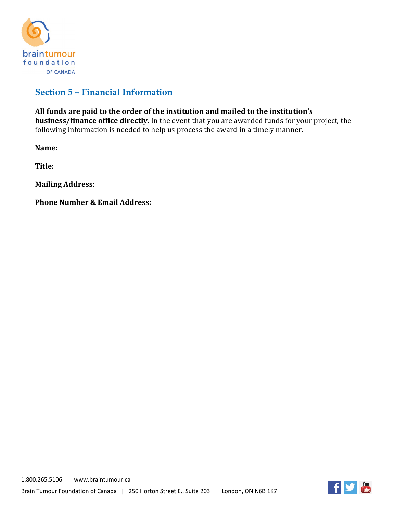

# **Section 5 – Financial Information**

**All funds are paid to the order of the institution and mailed to the institution's business/finance office directly.** In the event that you are awarded funds for your project, the following information is needed to help us process the award in a timely manner.

**Name:**

**Title:** 

**Mailing Address**:

**Phone Number & Email Address:**